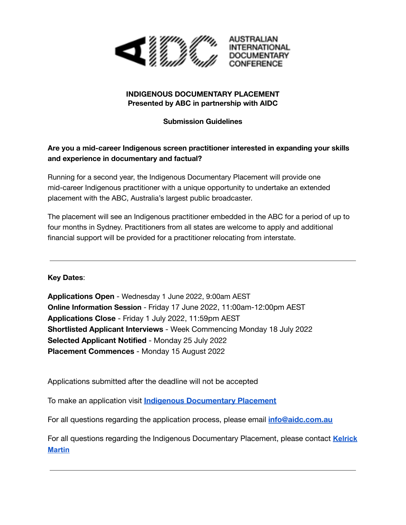

## **INDIGENOUS DOCUMENTARY PLACEMENT Presented by ABC in partnership with AIDC**

### **Submission Guidelines**

# **Are you a mid-career Indigenous screen practitioner interested in expanding your skills and experience in documentary and factual?**

Running for a second year, the Indigenous Documentary Placement will provide one mid-career Indigenous practitioner with a unique opportunity to undertake an extended placement with the ABC, Australia's largest public broadcaster.

The placement will see an Indigenous practitioner embedded in the ABC for a period of up to four months in Sydney. Practitioners from all states are welcome to apply and additional financial support will be provided for a practitioner relocating from interstate.

**Key Dates**:

**Applications Open** - Wednesday 1 June 2022, 9:00am AEST **Online Information Session** - Friday 17 June 2022, 11:00am-12:00pm AEST **Applications Close** - Friday 1 July 2022, 11:59pm AEST **Shortlisted Applicant Interviews** - Week Commencing Monday 18 July 2022 **Selected Applicant Notified** - Monday 25 July 2022 **Placement Commences** - Monday 15 August 2022

Applications submitted after the deadline will not be accepted

To make an application visit **Indigenous [Documentary](https://www.aidc.com.au/initiatives/indigenous-documentary-placement/#) Placement**

For all questions regarding the application process, please email **[info@aidc.com.au](mailto:info@aidc.com.au)**

For all questions regarding the Indigenous Documentary Placement, please contact **[Kelrick](mailto:martin.kelrick@abc.net.au) [Martin](mailto:martin.kelrick@abc.net.au)**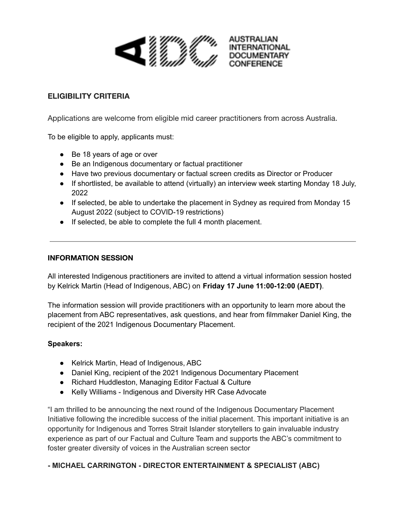

## **ELIGIBILITY CRITERIA**

Applications are welcome from eligible mid career practitioners from across Australia.

To be eligible to apply, applicants must:

- Be 18 years of age or over
- Be an Indigenous documentary or factual practitioner
- Have two previous documentary or factual screen credits as Director or Producer
- If shortlisted, be available to attend (virtually) an interview week starting Monday 18 July, 2022
- If selected, be able to undertake the placement in Sydney as required from Monday 15 August 2022 (subject to COVID-19 restrictions)
- If selected, be able to complete the full 4 month placement.

#### **INFORMATION SESSION**

All interested Indigenous practitioners are invited to attend a virtual information session hosted by Kelrick Martin (Head of Indigenous, ABC) on **Friday 17 June 11:00-12:00 (AEDT)**.

The information session will provide practitioners with an opportunity to learn more about the placement from ABC representatives, ask questions, and hear from filmmaker Daniel King, the recipient of the 2021 Indigenous Documentary Placement.

#### **Speakers:**

- Kelrick Martin, Head of Indigenous, ABC
- Daniel King, recipient of the 2021 Indigenous Documentary Placement
- Richard Huddleston, Managing Editor Factual & Culture
- Kelly Williams Indigenous and Diversity HR Case Advocate

"I am thrilled to be announcing the next round of the Indigenous Documentary Placement Initiative following the incredible success of the initial placement. This important initiative is an opportunity for Indigenous and Torres Strait Islander storytellers to gain invaluable industry experience as part of our Factual and Culture Team and supports the ABC's commitment to foster greater diversity of voices in the Australian screen sector

#### **- MICHAEL CARRINGTON - DIRECTOR ENTERTAINMENT & SPECIALIST (ABC)**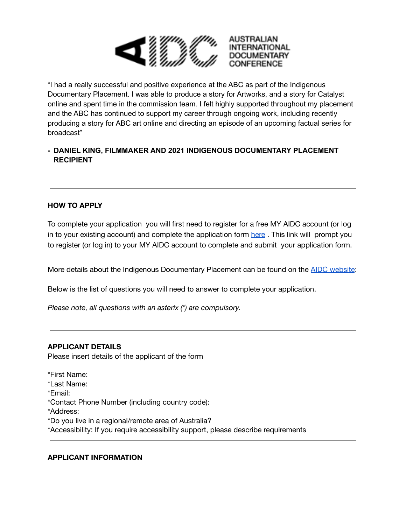

"I had a really successful and positive experience at the ABC as part of the Indigenous Documentary Placement. I was able to produce a story for Artworks, and a story for Catalyst online and spent time in the commission team. I felt highly supported throughout my placement and the ABC has continued to support my career through ongoing work, including recently producing a story for ABC art online and directing an episode of an upcoming factual series for broadcast"

## **- DANIEL KING, FILMMAKER AND 2021 INDIGENOUS DOCUMENTARY PLACEMENT RECIPIENT**

## **HOW TO APPLY**

To complete your application you will first need to register for a free MY AIDC account (or log in to your existing account) and complete the application form [here](https://aidc-forms.fiona-app.com/forms/33ac4d0b-d09d-4d36-a39d-75461f7f1917) . This link will prompt you to register (or log in) to your MY AIDC account to complete and submit your application form.

More details about the Indigenous Documentary Placement can be found on the **AIDC** [website](https://www.aidc.com.au/initiatives/indigenous-documentary-placement/#):

Below is the list of questions you will need to answer to complete your application.

*Please note, all questions with an asterix (\*) are compulsory.*

#### **APPLICANT DETAILS**

Please insert details of the applicant of the form

\*First Name: \*Last Name: \*Email: \*Contact Phone Number (including country code): \*Address: \*Do you live in a regional/remote area of Australia? \*Accessibility: If you require accessibility support, please describe requirements

#### **APPLICANT INFORMATION**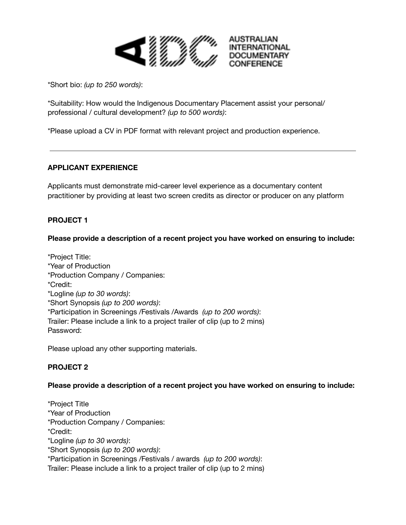

\*Short bio: *(up to 250 words)*:

\*Suitability: How would the Indigenous Documentary Placement assist your personal/ professional / cultural development? *(up to 500 words)*:

\*Please upload a CV in PDF format with relevant project and production experience.

## **APPLICANT EXPERIENCE**

Applicants must demonstrate mid-career level experience as a documentary content practitioner by providing at least two screen credits as director or producer on any platform

## **PROJECT 1**

#### **Please provide a description of a recent project you have worked on ensuring to include:**

\*Project Title: \*Year of Production \*Production Company / Companies: \*Credit: \*Logline *(up to 30 words)*: \*Short Synopsis *(up to 200 words)*: \*Participation in Screenings /Festivals /Awards *(up to 200 words)*: Trailer: Please include a link to a project trailer of clip (up to 2 mins) Password:

Please upload any other supporting materials.

## **PROJECT 2**

#### **Please provide a description of a recent project you have worked on ensuring to include:**

\*Project Title \*Year of Production \*Production Company / Companies: \*Credit: \*Logline *(up to 30 words)*: \*Short Synopsis *(up to 200 words)*: \*Participation in Screenings /Festivals / awards *(up to 200 words)*: Trailer: Please include a link to a project trailer of clip (up to 2 mins)